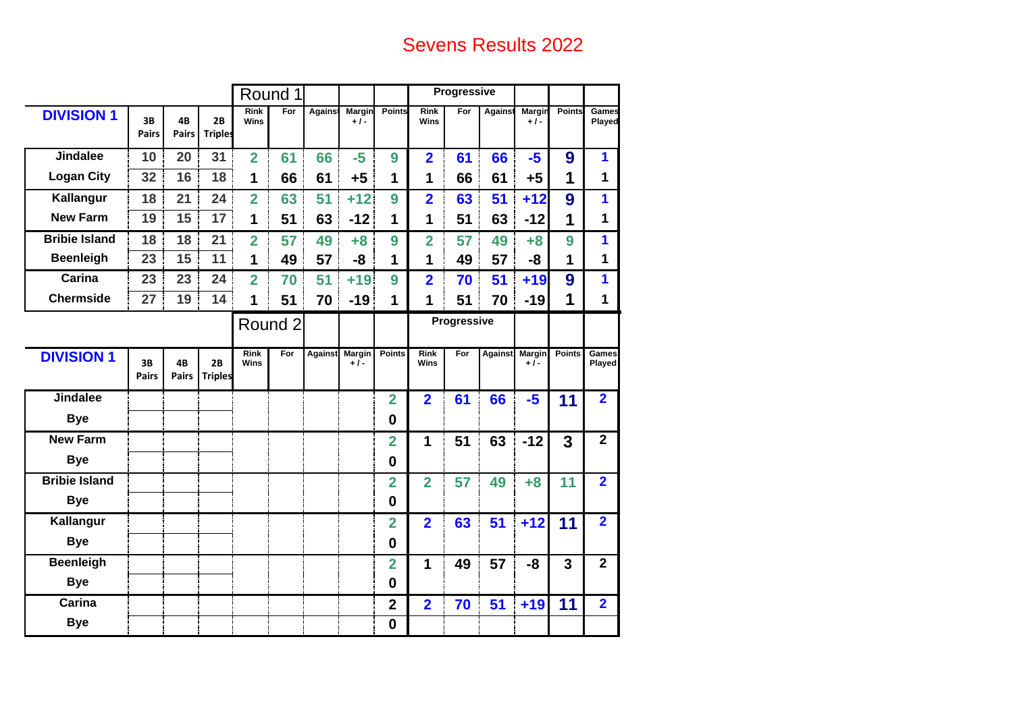# Sevens Results 2022

|                      |                    |                    |                      |                            | Round 1 |                |                        |                         |                         | Progressive |                |                      |                |                        |
|----------------------|--------------------|--------------------|----------------------|----------------------------|---------|----------------|------------------------|-------------------------|-------------------------|-------------|----------------|----------------------|----------------|------------------------|
| <b>DIVISION 1</b>    | 3B<br><b>Pairs</b> | 4B<br><b>Pairs</b> | 2B<br><b>Triples</b> | <b>Rink</b><br><b>Wins</b> | For     | <b>Agains</b>  | Margin<br>$+1-$        | Points                  | <b>Rink</b><br>Wins     | For         | Against        | Margin<br>$+1-$      | Points         | Games<br>Played        |
| <b>Jindalee</b>      | 10                 | 20                 | 31                   | $\overline{2}$             | 61      | 66             | $-5$                   | 9                       | $\overline{2}$          | 61          | 66             | $-5$                 | 9              | 1                      |
| <b>Logan City</b>    | 32                 | 16                 | 18                   | 1                          | 66      | 61             | $+5$                   | 1                       | 1                       | 66          | 61             | $+5$                 | 1              | 1                      |
| Kallangur            | 18                 | 21                 | 24                   | $\overline{2}$             | 63      | 51             | $+12$                  | 9                       | $\overline{\mathbf{2}}$ | 63          | 51             | $+12$                | 9              | 1                      |
| <b>New Farm</b>      | 19                 | 15                 | 17                   | 1                          | 51      | 63             | $-12$                  | 1                       | 1                       | 51          | 63             | $-12$                | 1              | 1                      |
| <b>Bribie Island</b> | 18                 | 18                 | 21                   | $\overline{2}$             | 57      | 49             | $+8$                   | 9                       | $\overline{2}$          | 57          | 49             | $+8$                 | 9              | 1                      |
| <b>Beenleigh</b>     | 23                 | 15                 | 11                   | 1                          | 49      | 57             | -8                     | 1                       | 1                       | 49          | 57             | -8                   | 1              | $\mathbf 1$            |
| Carina               | 23                 | 23                 | 24                   | $\overline{2}$             | 70      | 51             | $+19$                  | 9                       | $\overline{2}$          | 70          | 51             | $+19$                | 9              | 1                      |
| <b>Chermside</b>     | 27                 | 19                 | 14                   | 1                          | 51      | 70             | $-19$                  | 1                       | 1                       | 51          | 70             | $-19$                | 1              | 1                      |
|                      |                    |                    |                      |                            | Round 2 |                |                        |                         |                         | Progressive |                |                      |                |                        |
| <b>DIVISION 1</b>    | 3B<br><b>Pairs</b> | 4B<br><b>Pairs</b> | 2B<br><b>Triples</b> | <b>Rink</b><br><b>Wins</b> | For     | <b>Against</b> | <b>Margin</b><br>$+1-$ | Points                  | <b>Rink</b><br>Wins     | For         | <b>Against</b> | <b>Margin</b><br>+/- | <b>Points</b>  | <b>Games</b><br>Played |
| <b>Jindalee</b>      |                    |                    |                      |                            |         |                |                        | $\overline{2}$          | $\overline{2}$          | 61          | 66             | $-5$                 | 11             | $\overline{2}$         |
| <b>Bye</b>           |                    |                    |                      |                            |         |                |                        | $\bf{0}$                |                         |             |                |                      |                |                        |
| <b>New Farm</b>      |                    |                    |                      |                            |         |                |                        | $\overline{2}$          | 1                       | 51          | 63             | $-12$                | 3              | $\overline{2}$         |
| <b>Bye</b>           |                    |                    |                      |                            |         |                |                        | $\bf{0}$                |                         |             |                |                      |                |                        |
| <b>Bribie Island</b> |                    |                    |                      |                            |         |                |                        | $\overline{2}$          | $\overline{2}$          | 57          | 49             | $+8$                 | 11             | $\overline{2}$         |
| <b>Bye</b>           |                    |                    |                      |                            |         |                |                        | $\mathbf 0$             |                         |             |                |                      |                |                        |
| Kallangur            |                    |                    |                      |                            |         |                |                        | $\overline{2}$          | $\overline{2}$          | 63          | 51             | $+12$                | 11             | $\overline{2}$         |
| <b>Bye</b>           |                    |                    |                      |                            |         |                |                        | $\boldsymbol{0}$        |                         |             |                |                      |                |                        |
| <b>Beenleigh</b>     |                    |                    |                      |                            |         |                |                        | $\overline{2}$          | 1                       | 49          | 57             | -8                   | $\overline{3}$ | $\overline{2}$         |
| <b>Bye</b>           |                    |                    |                      |                            |         |                |                        | $\bf{0}$                |                         |             |                |                      |                |                        |
| Carina               |                    |                    |                      |                            |         |                |                        | $\overline{\mathbf{2}}$ | $\overline{2}$          | 70          | 51             | $+19$                | 11             | $\overline{2}$         |
| <b>Bye</b>           |                    |                    |                      |                            |         |                |                        | $\mathbf 0$             |                         |             |                |                      |                |                        |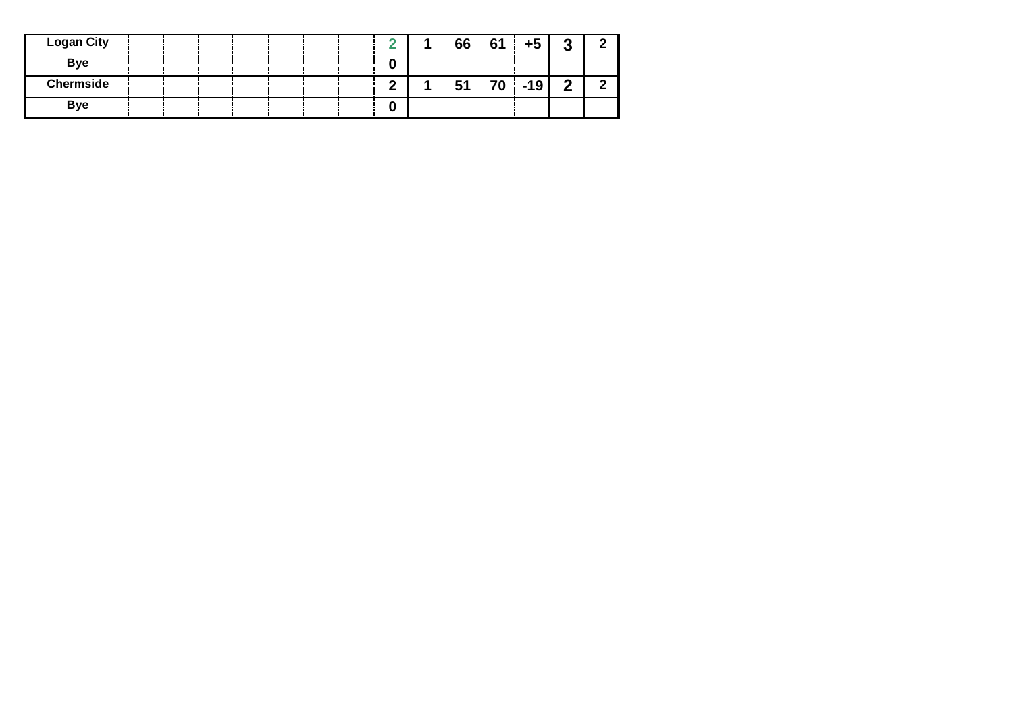| <b>Logan City</b> |  |  |  |        | 66     | 61 | $+5$  | າ<br>J |  |
|-------------------|--|--|--|--------|--------|----|-------|--------|--|
| <b>Bye</b>        |  |  |  | 0      |        |    |       |        |  |
| <b>Chermside</b>  |  |  |  | ◠<br>▃ | -<br>J | 70 | $-19$ | ◠      |  |
| <b>Bye</b>        |  |  |  | O      |        |    |       |        |  |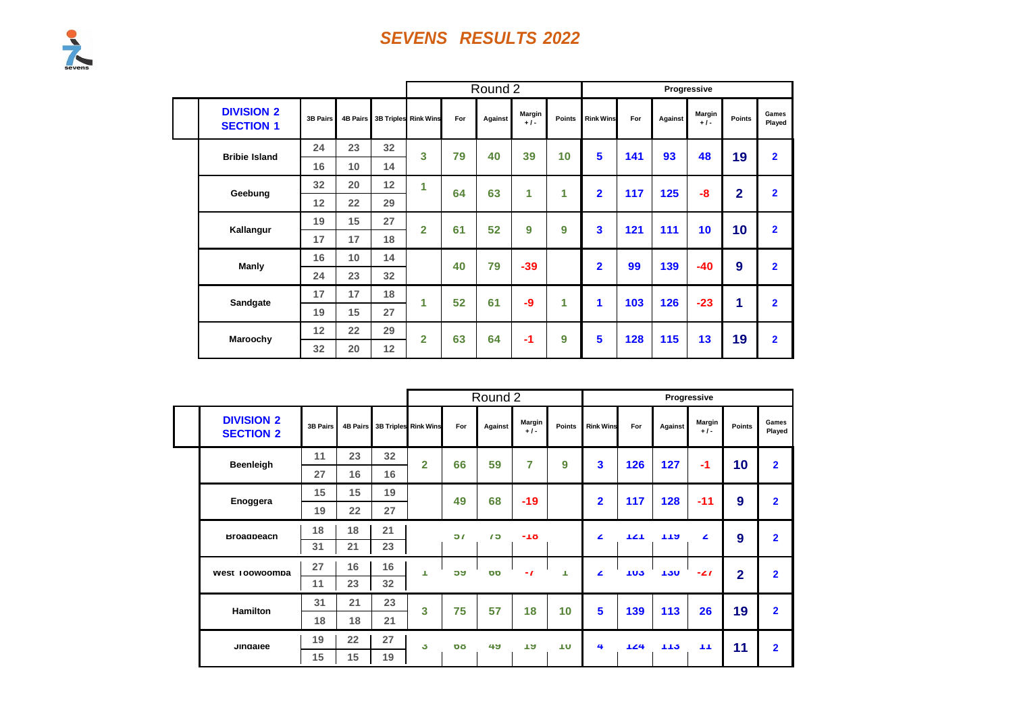|                                       |                 |          |    |                      |     | Round 2 |                 |               |                  |     |         | Progressive     |                |                         |
|---------------------------------------|-----------------|----------|----|----------------------|-----|---------|-----------------|---------------|------------------|-----|---------|-----------------|----------------|-------------------------|
| <b>DIVISION 2</b><br><b>SECTION 1</b> | <b>3B Pairs</b> | 4B Pairs |    | 3B Triples Rink Wins | For | Against | Margin<br>$+1-$ | <b>Points</b> | <b>Rink Wins</b> | For | Against | Margin<br>$+1-$ | Points         | Games<br>Played         |
| <b>Bribie Island</b>                  | 24              | 23       | 32 | 3                    | 79  | 40      | 39              | 10            | 5                | 141 | 93      | 48              | 19             | $\overline{2}$          |
|                                       | 16              | 10       | 14 |                      |     |         |                 |               |                  |     |         |                 |                |                         |
| Geebung                               | 32              | 20       | 12 | 1                    | 64  | 63      | 1               | 1             | $\overline{2}$   | 117 | 125     | -8              | $\overline{2}$ | $\overline{\mathbf{2}}$ |
|                                       | 12              | 22       | 29 |                      |     |         |                 |               |                  |     |         |                 |                |                         |
| Kallangur                             | 19              | 15       | 27 | $\overline{2}$       | 61  | 52      | 9               | 9             | $\mathbf{3}$     | 121 | 111     | 10              | 10             | $\overline{\mathbf{2}}$ |
|                                       | 17              | 17       | 18 |                      |     |         |                 |               |                  |     |         |                 |                |                         |
| Manly                                 | 16              | 10       | 14 |                      | 40  | 79      | $-39$           |               | $\overline{2}$   | 99  | 139     | $-40$           | 9              | $\overline{2}$          |
|                                       | 24              | 23       | 32 |                      |     |         |                 |               |                  |     |         |                 |                |                         |
| Sandgate                              | 17              | 17       | 18 | 1                    | 52  | 61      | $-9$            | 1             | 1                | 103 | 126     | $-23$           | 1              | $\overline{2}$          |
|                                       | 19              | 15       | 27 |                      |     |         |                 |               |                  |     |         |                 |                |                         |
| Maroochy                              | 12              | 22       | 29 | $\overline{2}$       | 63  | 64      | $-1$            | 9             | 5                | 128 | 115     | 13              | 19             | $\overline{2}$          |
|                                       | 32              | 20       | 12 |                      |     |         |                 |               |                  |     |         |                 |                |                         |

|                                       |                 |    |                 |                               |           | Round 2      |                 |        |                  |                   |            | Progressive      |               |                 |
|---------------------------------------|-----------------|----|-----------------|-------------------------------|-----------|--------------|-----------------|--------|------------------|-------------------|------------|------------------|---------------|-----------------|
| <b>DIVISION 2</b><br><b>SECTION 2</b> | <b>3B Pairs</b> |    |                 | 4B Pairs 3B Triples Rink Wins | For       | Against      | Margin<br>$+1-$ | Points | <b>Rink Wins</b> | For               | Against    | Margin<br>$+1-$  | <b>Points</b> | Games<br>Played |
| <b>Beenleigh</b>                      | 11              | 23 | 32 <sub>2</sub> | $\overline{2}$                | 66        | 59           | 7               | 9      | 3                | 126               | 127        | $-1$             | 10            | $\overline{2}$  |
|                                       | 27              | 16 | 16              |                               |           |              |                 |        |                  |                   |            |                  |               |                 |
| Enoggera                              | 15              | 15 | 19              |                               | 49        | 68           | $-19$           |        | $\overline{2}$   | 117               | 128        | $-11$            | 9             | $\overline{2}$  |
|                                       | 19              | 22 | 27              |                               |           |              |                 |        |                  |                   |            |                  |               |                 |
| <b>Broadbeach</b>                     | 18              | 18 | 21              |                               | 51        | $\mathbf{c}$ | $-10$           |        | ◢                | TZT               | 119        | $\blacktriangle$ | 9             | $\overline{2}$  |
|                                       | 31              | 21 | 23              |                               |           |              |                 |        |                  |                   |            |                  |               |                 |
| west roowoompa                        | 27              | 16 | 16              | т                             | ວນ        | <b>DD</b>    | $-1$            | п      | ∠                | ាប់               | <b>TJU</b> | $-21$            | 2             | $\overline{2}$  |
|                                       | 11              | 23 | 32              |                               |           |              |                 |        |                  |                   |            |                  |               |                 |
| <b>Hamilton</b>                       | 31              | 21 | 23              | 3                             | 75        | 57           | 18              | 10     | 5                | 139               | 113        | 26               | 19            | $\overline{2}$  |
|                                       | 18              | 18 | 21              |                               |           |              |                 |        |                  |                   |            |                  |               |                 |
| Jindalee                              | 19              | 22 | 27              | J.                            | <b>DO</b> | 49           | ាម              | ΠU     | 4                | $T_{\textbf{Z}4}$ | 115        | TТ               | 11            | $\overline{2}$  |
|                                       | 15              | 15 | 19              |                               |           |              |                 |        |                  |                   |            |                  |               |                 |

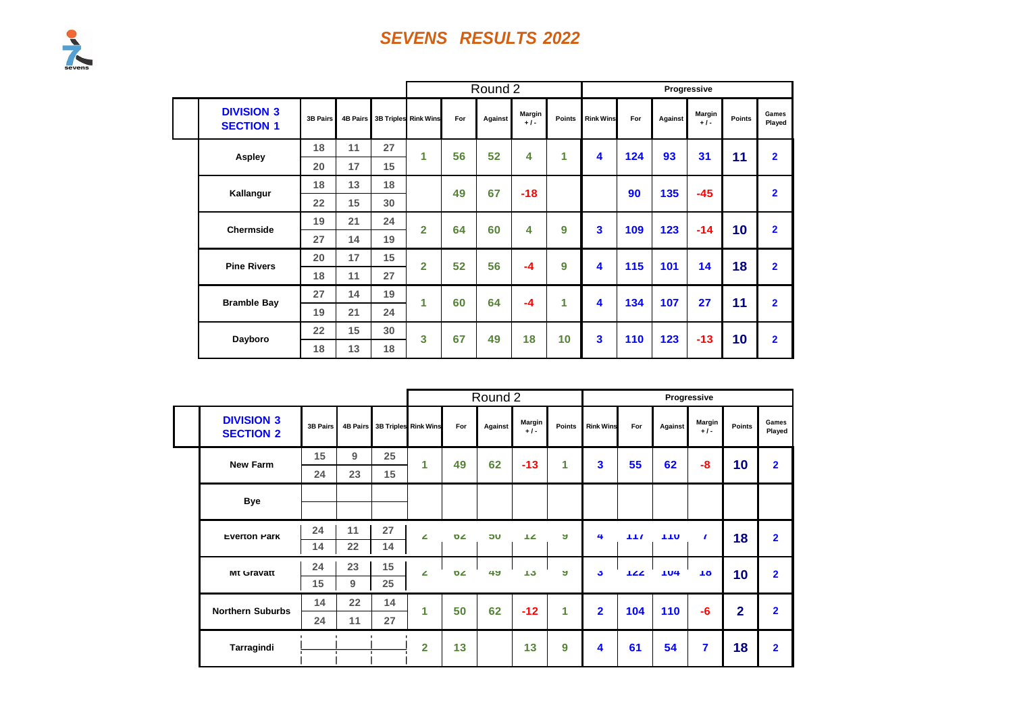

|  |                                       |                 |    |    |                               |     | Round 2 |                 |               |                  |     |         | Progressive     |        |                 |
|--|---------------------------------------|-----------------|----|----|-------------------------------|-----|---------|-----------------|---------------|------------------|-----|---------|-----------------|--------|-----------------|
|  | <b>DIVISION 3</b><br><b>SECTION 1</b> | <b>3B Pairs</b> |    |    | 4B Pairs 3B Triples Rink Wins | For | Against | Margin<br>$+1-$ | <b>Points</b> | <b>Rink Wins</b> | For | Against | Margin<br>$+1-$ | Points | Games<br>Played |
|  | <b>Aspley</b>                         | 18              | 11 | 27 | 1                             | 56  | 52      | 4               | 1             | 4                | 124 | 93      | 31              | 11     | $\overline{2}$  |
|  |                                       | 20              | 17 | 15 |                               |     |         |                 |               |                  |     |         |                 |        |                 |
|  | Kallangur                             | 18              | 13 | 18 |                               | 49  | 67      | $-18$           |               |                  | 90  | 135     | $-45$           |        | $\overline{2}$  |
|  |                                       | 22              | 15 | 30 |                               |     |         |                 |               |                  |     |         |                 |        |                 |
|  | <b>Chermside</b>                      | 19              | 21 | 24 | $\overline{2}$                | 64  | 60      | 4               | 9             | 3                | 109 | 123     | $-14$           | 10     | $\overline{2}$  |
|  |                                       | 27              | 14 | 19 |                               |     |         |                 |               |                  |     |         |                 |        |                 |
|  |                                       | 20              | 17 | 15 | $\overline{2}$                | 52  | 56      | $-4$            | 9             | 4                | 115 | 101     | 14              | 18     | $\overline{2}$  |
|  | <b>Pine Rivers</b>                    | 18              | 11 | 27 |                               |     |         |                 |               |                  |     |         |                 |        |                 |
|  | <b>Bramble Bay</b>                    | 27              | 14 | 19 | 1                             | 60  | 64      | $-4$            | 1             | 4                | 134 | 107     | 27              | 11     | $\overline{2}$  |
|  |                                       | 19              | 21 | 24 |                               |     |         |                 |               |                  |     |         |                 |        |                 |
|  | Dayboro                               | 22              | 15 | 30 | 3                             | 67  | 49      | 18              | 10            | 3                | 110 | 123     | $-13$           | 10     | $\overline{2}$  |
|  |                                       | 18              | 13 | 18 |                               |     |         |                 |               |                  |     |         |                 |        |                 |

|                                       |          |    |    |                               |           | Round 2 |                 |                      |                  |     |            | Progressive             |                |                 |
|---------------------------------------|----------|----|----|-------------------------------|-----------|---------|-----------------|----------------------|------------------|-----|------------|-------------------------|----------------|-----------------|
| <b>DIVISION 3</b><br><b>SECTION 2</b> | 3B Pairs |    |    | 4B Pairs 3B Triples Rink Wins | For       | Against | Margin<br>$+1-$ | <b>Points</b>        | <b>Rink Wins</b> | For | Against    | Margin<br>$+1-$         | <b>Points</b>  | Games<br>Played |
| <b>New Farm</b>                       | 15       | 9  | 25 | 1                             | 49        | 62      | $-13$           | 1                    | 3                | 55  | 62         | -8                      | 10             | $\overline{2}$  |
|                                       | 24       | 23 | 15 |                               |           |         |                 |                      |                  |     |            |                         |                |                 |
| <b>Bye</b>                            |          |    |    |                               |           |         |                 |                      |                  |     |            |                         |                |                 |
| <b>Everton Park</b>                   | 24       | 11 | 27 | ∠                             | 0/2       | ้วบ     | $T_{\rm A}$     | A                    | 4                | 117 | <b>TTU</b> | $\sqrt{ }$              | 18             | $\overline{2}$  |
|                                       | 14       | 22 | 14 |                               |           |         |                 |                      |                  |     |            |                         |                |                 |
| <b>Mt Gravatt</b>                     | 24       | 23 | 15 | z                             | <b>DZ</b> | 49      | 15              | ы                    | J.               | 122 | <b>TU4</b> | 1ŏ                      | 10             | $\overline{2}$  |
|                                       | 15       | 9  | 25 |                               |           |         |                 |                      |                  |     |            |                         |                |                 |
| <b>Northern Suburbs</b>               | 14       | 22 | 14 | 1                             | 50        | 62      | $-12$           | $\blacktriangleleft$ | $\overline{2}$   | 104 | 110        | $-6$                    | $\overline{2}$ | $\overline{2}$  |
|                                       | 24       | 11 | 27 |                               |           |         |                 |                      |                  |     |            |                         |                |                 |
| Tarragindi                            |          |    |    | $\overline{2}$                | 13        |         | 13              | 9                    | 4                | 61  | 54         | $\overline{\mathbf{r}}$ | 18             | $\overline{2}$  |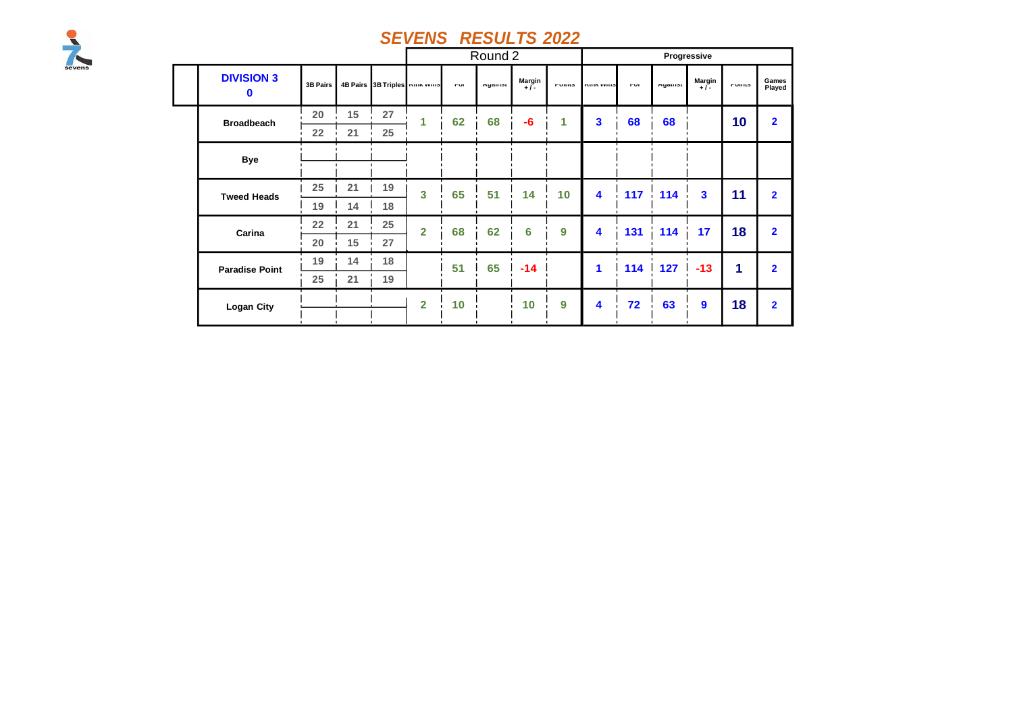

|  |                        |          |    |    |                                       |            | Round 2 |               |               |                     |            |         | Progressive      |               |                 |
|--|------------------------|----------|----|----|---------------------------------------|------------|---------|---------------|---------------|---------------------|------------|---------|------------------|---------------|-----------------|
|  | <b>DIVISION 3</b><br>0 | 3B Pairs |    |    | 4B Pairs 3B Triples <b>Num YVIIIS</b> | <b>FUI</b> | Myaniat | Margin<br>+/- | <b>FUILIS</b> | <b>INITIA VEHIO</b> | <b>FUI</b> | Myaniot | Margin $+1$      | <b>FUILIS</b> | Games<br>Played |
|  | <b>Broadbeach</b>      | 20       | 15 | 27 | 1                                     | 62         | 68      | $-6$          | 1             | 3                   | 68         | 68      |                  | 10            | $\overline{2}$  |
|  |                        | 22       | 21 | 25 |                                       |            |         |               |               |                     |            |         |                  |               |                 |
|  | <b>Bye</b>             |          |    |    |                                       |            |         |               |               |                     |            |         |                  |               |                 |
|  | <b>Tweed Heads</b>     | 25       | 21 | 19 | 3                                     | 65         | 51      | 14            | 10            | 4                   | 117        | 114     | $\mathbf{3}$     | 11            | $\overline{2}$  |
|  |                        | 19       | 14 | 18 |                                       |            |         |               |               |                     |            |         |                  |               |                 |
|  | Carina                 | 22       | 21 | 25 | $\overline{2}$                        | 68         | 62      | 6             | 9             | 4                   | 131        | 114     | 17               | 18            | $\overline{2}$  |
|  |                        | 20       | 15 | 27 |                                       |            |         |               |               |                     |            |         |                  |               |                 |
|  | <b>Paradise Point</b>  | 19       | 14 | 18 |                                       | 51         | 65      | $-14$         |               | 1                   | 114        | 127     | $-13$            | 1             | $\overline{2}$  |
|  |                        | 25       | 21 | 19 |                                       |            |         |               |               |                     |            |         |                  |               |                 |
|  | Logan City             |          |    |    | $\overline{2}$                        | 10         |         | 10            | 9             | 4                   | 72         | 63      | $\boldsymbol{9}$ | 18            | $\overline{2}$  |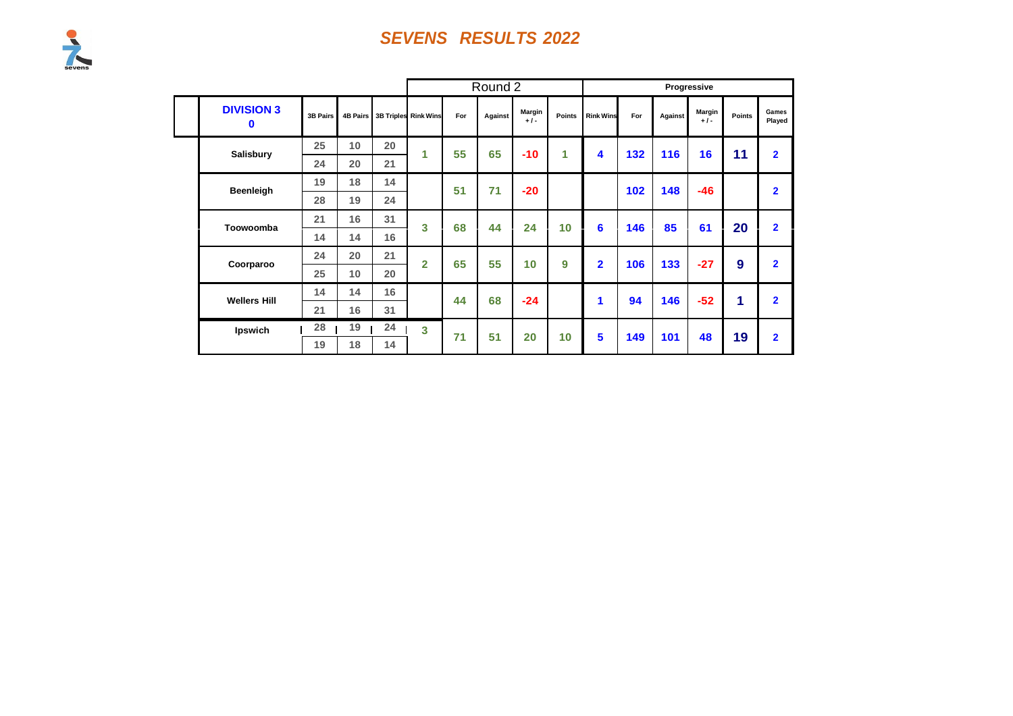|                        |          |                 |    |                      |     | Round 2 |                 |        |                  |     |         | Progressive     |               |                 |
|------------------------|----------|-----------------|----|----------------------|-----|---------|-----------------|--------|------------------|-----|---------|-----------------|---------------|-----------------|
| <b>DIVISION 3</b><br>0 | 3B Pairs | <b>4B Pairs</b> |    | 3B Triples Rink Wins | For | Against | Margin<br>$+1-$ | Points | <b>Rink Wins</b> | For | Against | Margin<br>$+1-$ | <b>Points</b> | Games<br>Played |
| <b>Salisbury</b>       | 25       | 10              | 20 | 1                    | 55  | 65      | $-10$           | 1      | $\blacktriangle$ | 132 | 116     | 16              | 11            | $\overline{2}$  |
|                        | 24       | 20              | 21 |                      |     |         |                 |        |                  |     |         |                 |               |                 |
| Beenleigh              | 19       | 18              | 14 |                      | 51  | 71      | $-20$           |        |                  | 102 | 148     | $-46$           |               | $\overline{2}$  |
|                        | 28       | 19              | 24 |                      |     |         |                 |        |                  |     |         |                 |               |                 |
| Toowoomba              | 21       | 16              | 31 | 3                    | 68  | 44      | 24              | 10     | 6                | 146 | 85      | 61              | 20            | $\overline{2}$  |
|                        | 14       | 14              | 16 |                      |     |         |                 |        |                  |     |         |                 |               |                 |
| Coorparoo              | 24       | 20              | 21 | $\overline{2}$       | 65  | 55      | 10 <sub>1</sub> | 9      | $\overline{2}$   | 106 | 133     | $-27$           | 9             | $\overline{2}$  |
|                        | 25       | 10              | 20 |                      |     |         |                 |        |                  |     |         |                 |               |                 |
| <b>Wellers Hill</b>    | 14       | 14              | 16 |                      | 44  | 68      | $-24$           |        | 1                | 94  | 146     | $-52$           | 1             | $\overline{2}$  |
|                        | 21       | 16              | 31 |                      |     |         |                 |        |                  |     |         |                 |               |                 |
| Ipswich                | 28       | 19              | 24 | 3                    | 71  | 51      | 20              | 10     | 5                | 149 | 101     | 48              | 19            | $\overline{2}$  |
|                        | 19       | 18              | 14 |                      |     |         |                 |        |                  |     |         |                 |               |                 |

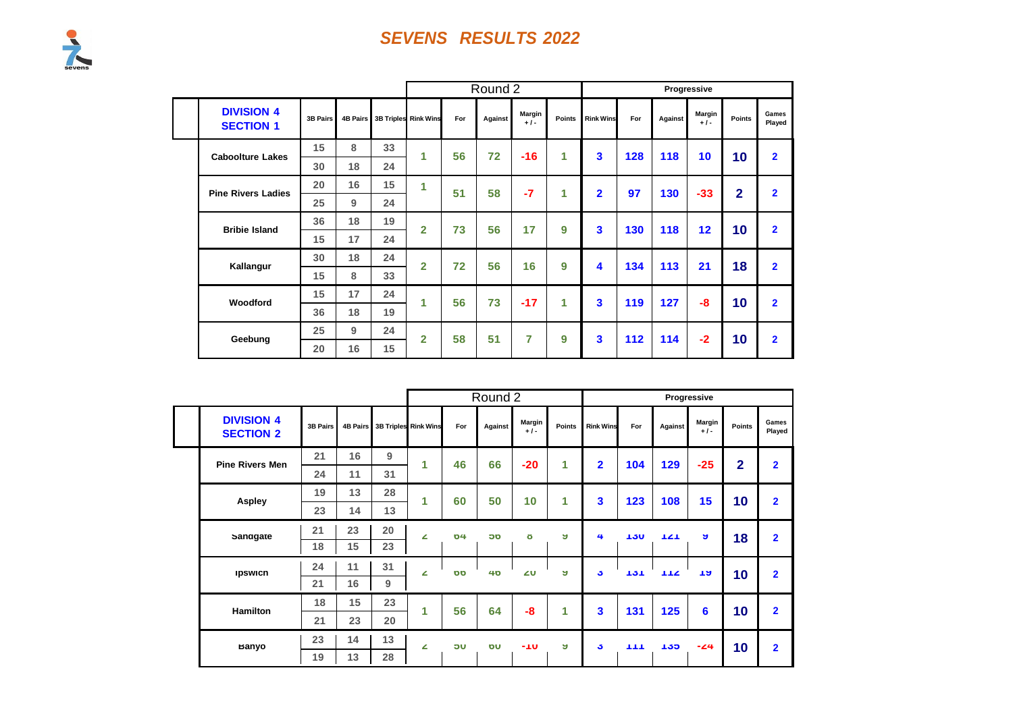|  |                                       |                 |    |    |                               |     | Round 2 |                 |               |                         |     |         | Progressive     |                |                         |
|--|---------------------------------------|-----------------|----|----|-------------------------------|-----|---------|-----------------|---------------|-------------------------|-----|---------|-----------------|----------------|-------------------------|
|  | <b>DIVISION 4</b><br><b>SECTION 1</b> | <b>3B Pairs</b> |    |    | 4B Pairs 3B Triples Rink Wins | For | Against | Margin<br>$+1-$ | <b>Points</b> | <b>Rink Wins</b>        | For | Against | Margin<br>$+1-$ | <b>Points</b>  | Games<br>Played         |
|  | <b>Caboolture Lakes</b>               | 15              | 8  | 33 | 1                             | 56  | 72      | $-16$           | 1             | 3                       | 128 | 118     | 10              | 10             | $\overline{2}$          |
|  |                                       | 30              | 18 | 24 |                               |     |         |                 |               |                         |     |         |                 |                |                         |
|  | <b>Pine Rivers Ladies</b>             | 20              | 16 | 15 | 1                             | 51  | 58      | $-7$            | 1             | $\overline{2}$          | 97  | 130     | $-33$           | $\overline{2}$ | $\overline{2}$          |
|  |                                       | 25              | 9  | 24 |                               |     |         |                 |               |                         |     |         |                 |                |                         |
|  | <b>Bribie Island</b>                  | 36              | 18 | 19 | $\overline{2}$                | 73  | 56      | 17              | 9             | 3                       | 130 | 118     | 12              | 10             | $\overline{\mathbf{2}}$ |
|  |                                       | 15              | 17 | 24 |                               |     |         |                 |               |                         |     |         |                 |                |                         |
|  | Kallangur                             | 30              | 18 | 24 | $\overline{2}$                | 72  | 56      | 16              | 9             | 4                       | 134 | 113     | 21              | 18             | $\overline{2}$          |
|  |                                       | 15              | 8  | 33 |                               |     |         |                 |               |                         |     |         |                 |                |                         |
|  | Woodford                              | 15              | 17 | 24 | 1                             | 56  | 73      | $-17$           | 1             | $\overline{\mathbf{3}}$ | 119 | 127     | $-8$            | 10             | $\overline{2}$          |
|  |                                       | 36              | 18 | 19 |                               |     |         |                 |               |                         |     |         |                 |                |                         |
|  | Geebung                               | 25              | 9  | 24 | $\overline{2}$                | 58  | 51      | 7               | 9             | 3                       | 112 | 114     | $-2$            | 10             | $\overline{2}$          |
|  |                                       | 20              | 16 | 15 |                               |     |         |                 |               |                         |     |         |                 |                |                         |

|                                       |                 |    |    |                               |           | Round 2 |                 |        |                  |            |         | Progressive            |                |                 |
|---------------------------------------|-----------------|----|----|-------------------------------|-----------|---------|-----------------|--------|------------------|------------|---------|------------------------|----------------|-----------------|
| <b>DIVISION 4</b><br><b>SECTION 2</b> | <b>3B Pairs</b> |    |    | 4B Pairs 3B Triples Rink Wins | For       | Against | Margin<br>$+1-$ | Points | <b>Rink Wins</b> | For        | Against | <b>Margin</b><br>$+1-$ | Points         | Games<br>Played |
| <b>Pine Rivers Men</b>                | 21              | 16 | 9  | 1                             | 46        | 66      | $-20$           | 1      | $\overline{2}$   | 104        | 129     | $-25$                  | $\overline{2}$ | $\overline{2}$  |
|                                       | 24              | 11 | 31 |                               |           |         |                 |        |                  |            |         |                        |                |                 |
| <b>Aspley</b>                         | 19              | 13 | 28 | 1                             | 60        | 50      | 10              | 1      | 3                | 123        | 108     | 15                     | 10             | $\overline{2}$  |
|                                       | 23              | 14 | 13 |                               |           |         |                 |        |                  |            |         |                        |                |                 |
| Sanagate                              | 21              | 23 | 20 | ∠                             | 04        | OC      | ŏ               | ы      | 4                | <b>TJU</b> | TZT     | ы                      | 18             | $\overline{2}$  |
|                                       | 18              | 15 | 23 |                               |           |         |                 |        |                  |            |         |                        |                |                 |
| <b>Ipswich</b>                        | 24              | 11 | 31 | ∠                             | <b>DD</b> | 40      | $\angle$ U      | Э      | J.               | 151        | TTZ     | ាម                     | 10             | $\overline{2}$  |
|                                       | 21              | 16 | 9  |                               |           |         |                 |        |                  |            |         |                        |                |                 |
| <b>Hamilton</b>                       | 18              | 15 | 23 | 1                             | 56        | 64      | -8              | 1      | 3                | 131        | 125     | 6                      | 10             | $\overline{2}$  |
|                                       | 21              | 23 | 20 |                               |           |         |                 |        |                  |            |         |                        |                |                 |
| <b>Banyo</b>                          | 23              | 14 | 13 | ∠                             | <b>JC</b> | OU      | -10             | Э      | J.               | TТ         | 135     | $-24$                  | 10             | $\overline{2}$  |
|                                       | 19              | 13 | 28 |                               |           |         |                 |        |                  |            |         |                        |                |                 |

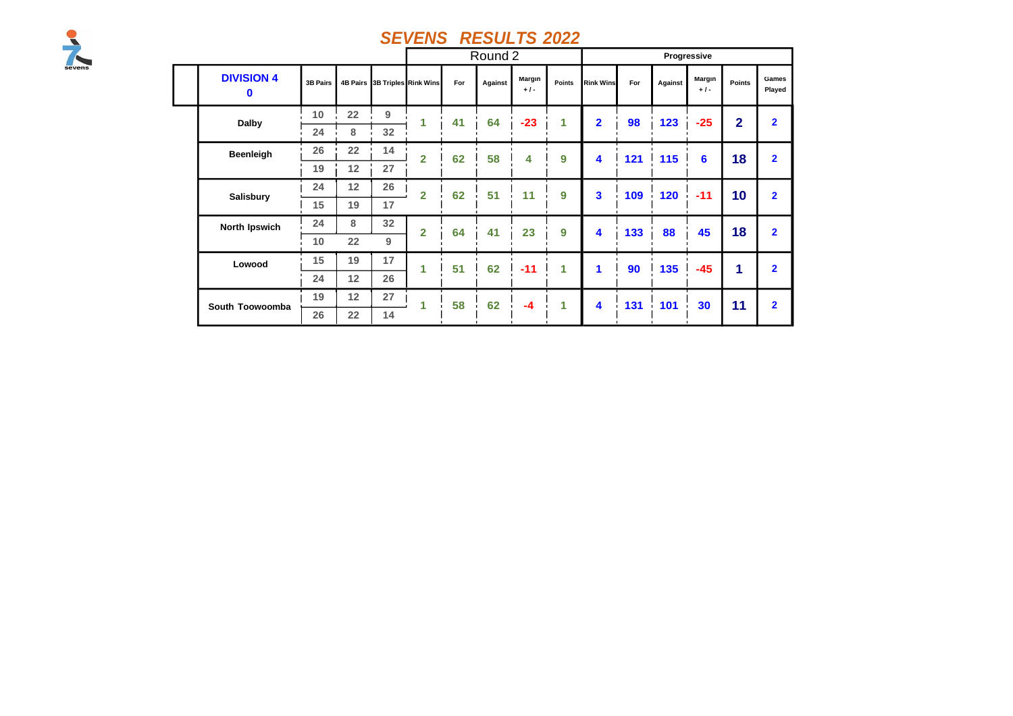

|  |                 |                        |                 |                   |                 |                               |     | Round 2 |                 |        |                  |     |         | Progressive     |                |                 |
|--|-----------------|------------------------|-----------------|-------------------|-----------------|-------------------------------|-----|---------|-----------------|--------|------------------|-----|---------|-----------------|----------------|-----------------|
|  |                 | <b>DIVISION 4</b><br>0 | <b>3B Pairs</b> |                   |                 | 4B Pairs 3B Triples Rink Wins | For | Against | Margin<br>$+1-$ | Points | <b>Rink Wins</b> | For | Against | Margin<br>$+1-$ | Points         | Games<br>Played |
|  |                 | Dalby                  | 10              | 22                | 9               | 1                             | 41  | 64      | $-23$           | 1      | $\overline{2}$   | 98  | 123     | $-25$           | $\overline{2}$ | $\overline{2}$  |
|  |                 |                        | 24              | 8                 | 32 <sup>2</sup> |                               |     |         |                 |        |                  |     |         |                 |                |                 |
|  |                 | Beenleigh              | 26              | $22 \overline{ }$ | 14              | $\overline{2}$                | 62  | 58      | 4               | 9      | 4                | 121 | 115     | 6               | 18             | $\overline{2}$  |
|  |                 |                        | 19              | 12                | 27              |                               |     |         |                 |        |                  |     |         |                 |                |                 |
|  | Salisbury       | 24                     | 12 <sub>2</sub> | 26                | $\overline{2}$  | 62                            | 51  | 11      | 9               | 3      | 109              | 120 | $-11$   | 10              | $\overline{2}$ |                 |
|  |                 |                        | 15              | 19                | 17              |                               |     |         |                 |        |                  |     |         |                 |                |                 |
|  |                 | North Ipswich          | 24              | 8                 | 32 <sub>2</sub> | $\overline{2}$                | 64  | 41      | 23              | 9      | 4                | 133 | 88      | 45              | 18             | $\overline{2}$  |
|  |                 | Lowood                 | 10              | $22 \overline{ }$ | 9               |                               |     |         |                 |        |                  |     |         |                 |                |                 |
|  |                 |                        | 15              | 19                | 17              | 1                             | 51  | 62      | $-11$           | 1      | 1                | 90  | 135     | $-45$           | 1              | $\overline{2}$  |
|  | South Toowoomba |                        | 24              | 12 <sub>2</sub>   | 26              |                               |     |         |                 |        |                  |     |         |                 |                |                 |
|  |                 | 19                     | 12              | 27                | 1               | 58                            | 62  | $-4$    | 1               | 4      | 131              | 101 | 30      | 11              | $\overline{2}$ |                 |
|  |                 | 26                     | 22              | 14                |                 |                               |     |         |                 |        |                  |     |         |                 |                |                 |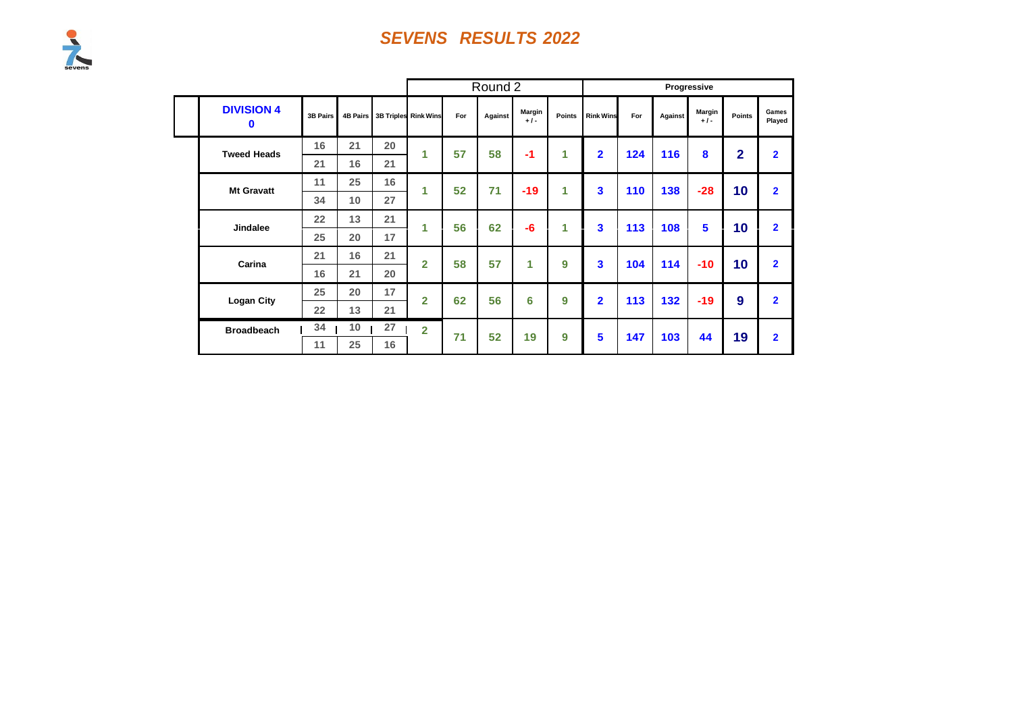|                               |                 |                 |    |                      |     | Round 2 |                 |                      |                         |     |         | Progressive     |                |                 |
|-------------------------------|-----------------|-----------------|----|----------------------|-----|---------|-----------------|----------------------|-------------------------|-----|---------|-----------------|----------------|-----------------|
| <b>DIVISION 4</b><br>$\bf{0}$ | <b>3B Pairs</b> | <b>4B Pairs</b> |    | 3B Triples Rink Wins | For | Against | Margin<br>$+1-$ | Points               | <b>Rink Wins</b>        | For | Against | Margin<br>$+1-$ | Points         | Games<br>Played |
| <b>Tweed Heads</b>            | 16              | 21              | 20 | 1                    | 57  | 58      | $-1$            | $\blacktriangleleft$ | $\overline{2}$          | 124 | 116     | 8               | $\overline{2}$ | $\overline{2}$  |
|                               | 21              | 16              | 21 |                      |     |         |                 |                      |                         |     |         |                 |                |                 |
| <b>Mt Gravatt</b>             | 11              | 25              | 16 | 1                    | 52  | 71      | $-19$           | $\blacktriangleleft$ | 3                       | 110 | 138     | $-28$           | 10             | $\overline{2}$  |
|                               | 34              | 10              | 27 |                      |     |         |                 |                      |                         |     |         |                 |                |                 |
| <b>Jindalee</b>               | 22              | 13              | 21 | 1                    | 56  | 62      | $-6$            | $\blacktriangleleft$ | $\overline{\mathbf{3}}$ | 113 | 108     | 5               | 10             | $\overline{2}$  |
|                               | 25              | 20              | 17 |                      |     |         |                 |                      |                         |     |         |                 |                |                 |
| Carina                        | 21              | 16              | 21 | $\overline{2}$       | 58  | 57      | 1               | 9                    | 3                       | 104 | 114     | $-10$           | 10             | $\overline{2}$  |
|                               | 16              | 21              | 20 |                      |     |         |                 |                      |                         |     |         |                 |                |                 |
| <b>Logan City</b>             | 25              | 20              | 17 | $\overline{2}$       | 62  | 56      | 6               | 9                    | $\overline{2}$          | 113 | 132     | $-19$           | 9              | $\overline{2}$  |
|                               | 22              | 13              | 21 |                      |     |         |                 |                      |                         |     |         |                 |                |                 |
| <b>Broadbeach</b>             | 34              | 10              | 27 | $\overline{2}$       | 71  | 52      | 19              | 9                    | 5                       | 147 | 103     | 44              | 19             | $\overline{2}$  |
|                               | 11              | 25              | 16 |                      |     |         |                 |                      |                         |     |         |                 |                |                 |

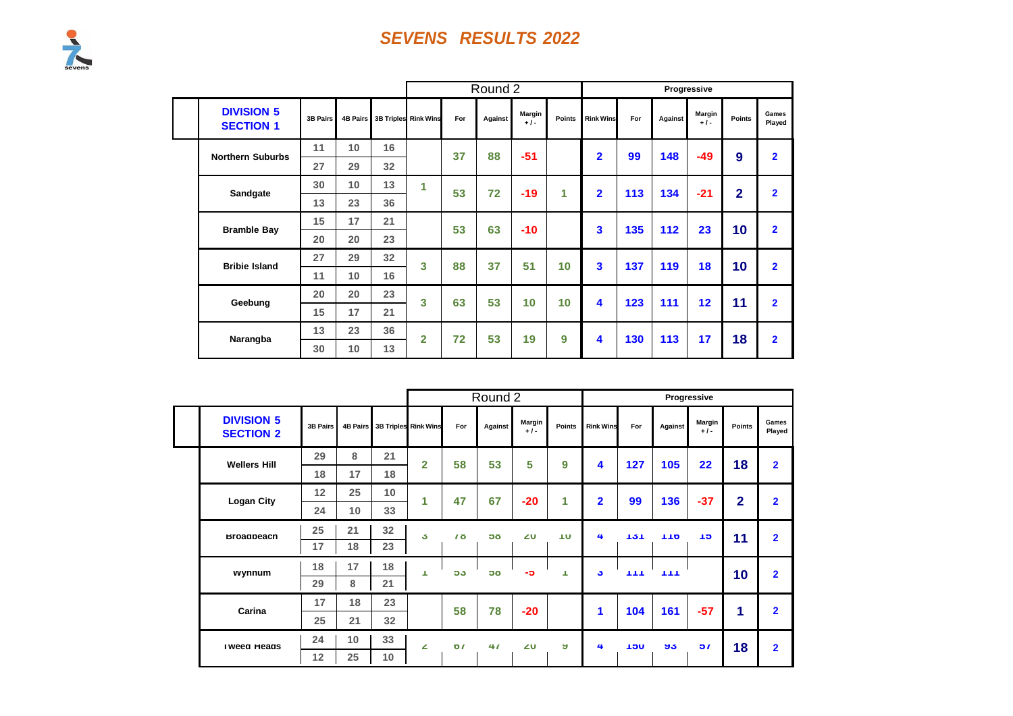|  |                                       |                 |                 |    |                             |     | Round 2 |                 |               |                  |     |         | Progressive     |                |                 |
|--|---------------------------------------|-----------------|-----------------|----|-----------------------------|-----|---------|-----------------|---------------|------------------|-----|---------|-----------------|----------------|-----------------|
|  | <b>DIVISION 5</b><br><b>SECTION 1</b> | <b>3B Pairs</b> | <b>4B Pairs</b> |    | <b>3B Triples Rink Wins</b> | For | Against | Margin<br>$+1-$ | <b>Points</b> | <b>Rink Wins</b> | For | Against | Margin<br>$+1-$ | Points         | Games<br>Played |
|  | <b>Northern Suburbs</b>               | 11              | 10              | 16 |                             | 37  | 88      | $-51$           |               | $\overline{2}$   | 99  | 148     | $-49$           | 9              | $\overline{2}$  |
|  |                                       | 27              | 29              | 32 |                             |     |         |                 |               |                  |     |         |                 |                |                 |
|  | Sandgate                              | 30              | 10              | 13 | 1                           | 53  | 72      | $-19$           | 1             | $\overline{2}$   | 113 | 134     | $-21$           | $\overline{2}$ | $\overline{2}$  |
|  |                                       | 13              | 23              | 36 |                             |     |         |                 |               |                  |     |         |                 |                |                 |
|  | <b>Bramble Bay</b>                    | 15              | 17              | 21 |                             | 53  | 63      | $-10$           |               | 3                | 135 | 112     | 23              | 10             | $\overline{2}$  |
|  |                                       | 20              | 20              | 23 |                             |     |         |                 |               |                  |     |         |                 |                |                 |
|  | <b>Bribie Island</b>                  | 27              | 29              | 32 | 3                           | 88  | 37      | 51              | 10            | 3                | 137 | 119     | 18              | 10             | $\overline{2}$  |
|  |                                       | 11              | 10              | 16 |                             |     |         |                 |               |                  |     |         |                 |                |                 |
|  | Geebung                               | 20              | 20              | 23 | $\overline{\mathbf{3}}$     | 63  | 53      | 10              | 10            | 4                | 123 | 111     | 12 <sub>2</sub> | 11             | $\overline{2}$  |
|  |                                       | 15              | 17              | 21 |                             |     |         |                 |               |                  |     |         |                 |                |                 |
|  | Narangba                              | 13              | 23              | 36 | $\overline{2}$              | 72  | 53      | 19              | 9             | 4                | 130 | 113     | 17              | 18             | $\overline{2}$  |
|  |                                       | 30              | 10              | 13 |                             |     |         |                 |               |                  |     |         |                 |                |                 |

|                                       |                 |    |    |                               |                 | Round 2   |                 |               |                  |      |         | Progressive     |                |                 |
|---------------------------------------|-----------------|----|----|-------------------------------|-----------------|-----------|-----------------|---------------|------------------|------|---------|-----------------|----------------|-----------------|
| <b>DIVISION 5</b><br><b>SECTION 2</b> | <b>3B Pairs</b> |    |    | 4B Pairs 3B Triples Rink Wins | For             | Against   | Margin<br>$+1-$ | <b>Points</b> | <b>Rink Wins</b> | For  | Against | Margin<br>$+1-$ | <b>Points</b>  | Games<br>Played |
| <b>Wellers Hill</b>                   | 29              | 8  | 21 | $\overline{2}$                | 58              | 53        | 5               | 9             | 4                | 127  | 105     | $22 \,$         | 18             | $\overline{2}$  |
|                                       | 18              | 17 | 18 |                               |                 |           |                 |               |                  |      |         |                 |                |                 |
| <b>Logan City</b>                     | 12              | 25 | 10 | 4                             | 47              | 67        | $-20$           | 1             | $\overline{2}$   | 99   | 136     | $-37$           | $\overline{2}$ | $\overline{2}$  |
|                                       | 24              | 10 | 33 |                               |                 |           |                 |               |                  |      |         |                 |                |                 |
| <b>Broadbeach</b>                     | 25              | 21 | 32 | J.                            | $\overline{10}$ | <b>OC</b> | 20              | ΠU            | 4                | 131  | 110     | TD.             | 11             | $\overline{2}$  |
|                                       | 17              | 18 | 23 |                               |                 |           |                 |               |                  |      |         |                 |                |                 |
| wynnum                                | 18              | 17 | 18 | т                             | 53              | <b>OC</b> | -၁              | т             | J.               | TTT  | TТ      |                 | 10             | $\overline{2}$  |
|                                       | 29              | 8  | 21 |                               |                 |           |                 |               |                  |      |         |                 |                |                 |
| Carina                                | 17              | 18 | 23 |                               | 58              | 78        | $-20$           |               | 1                | 104  | 161     | $-57$           | 1              | $\overline{2}$  |
|                                       | 25              | 21 | 32 |                               |                 |           |                 |               |                  |      |         |                 |                |                 |
| <b>I weed Heads</b>                   | 24              | 10 | 33 | ∠                             | $\mathbf{v}$    | 41        | ΖU              | A.            | 4                | יטכי | ಀಀ      | $\mathbf{a}$    | 18             | $\overline{2}$  |
|                                       | 12              | 25 | 10 |                               |                 |           |                 |               |                  |      |         |                 |                |                 |

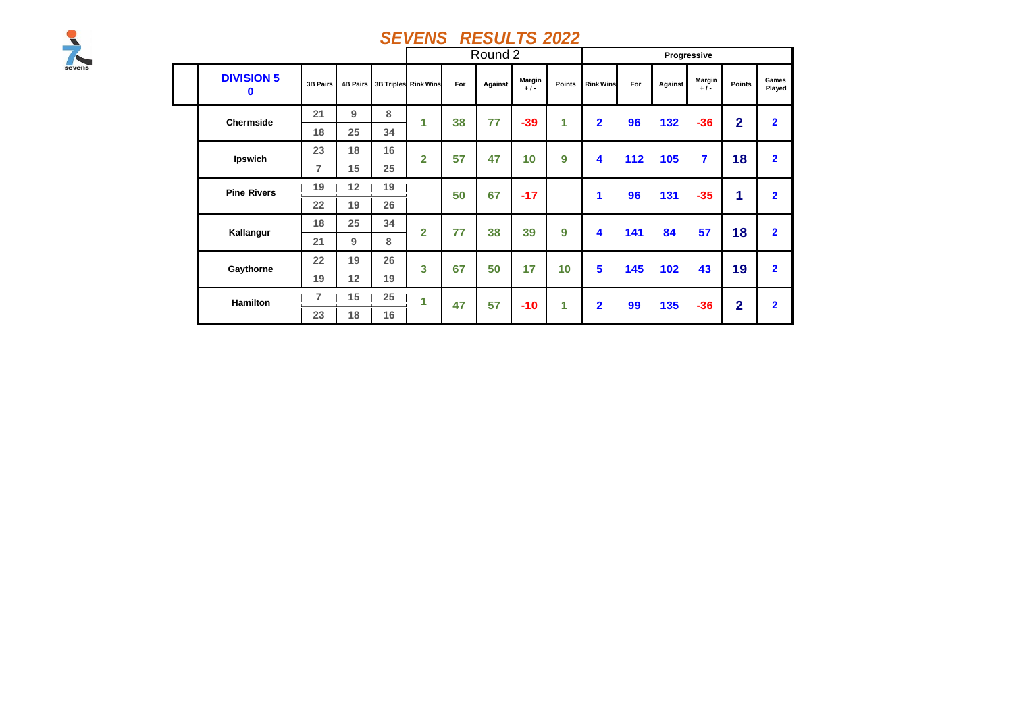

|                               |                 |    |    |                               |     | Round 2 |                 |        |                  |     |         | Progressive     |                |                 |
|-------------------------------|-----------------|----|----|-------------------------------|-----|---------|-----------------|--------|------------------|-----|---------|-----------------|----------------|-----------------|
| <b>DIVISION 5</b><br>$\bf{0}$ | <b>3B Pairs</b> |    |    | 4B Pairs 3B Triples Rink Wins | For | Against | Margin<br>$+1-$ | Points | <b>Rink Wins</b> | For | Against | Margin<br>$+1-$ | Points         | Games<br>Played |
| <b>Chermside</b>              | 21              | 9  | 8  | 1                             | 38  | 77      | $-39$           | 1      | $\overline{2}$   | 96  | 132     | $-36$           | $\overline{2}$ | $\overline{2}$  |
|                               | 18              | 25 | 34 |                               |     |         |                 |        |                  |     |         |                 |                |                 |
| Ipswich                       | 23              | 18 | 16 | $\overline{2}$                | 57  | 47      | 10              | 9      | 4                | 112 | 105     | $\overline{7}$  | 18             | $\overline{2}$  |
|                               | $\overline{7}$  | 15 | 25 |                               |     |         |                 |        |                  |     |         |                 |                |                 |
| <b>Pine Rivers</b>            | 19              | 12 | 19 |                               | 50  | 67      | $-17$           |        | 1                | 96  | 131     | $-35$           | 1              | $\overline{2}$  |
|                               | 22              | 19 | 26 |                               |     |         |                 |        |                  |     |         |                 |                |                 |
| Kallangur                     | 18              | 25 | 34 | $\overline{2}$                | 77  | 38      | 39              | 9      | 4                | 141 | 84      | 57              | 18             | $\overline{2}$  |
|                               | 21              | 9  | 8  |                               |     |         |                 |        |                  |     |         |                 |                |                 |
| Gaythorne                     | 22              | 19 | 26 | 3                             | 67  | 50      | 17              | 10     | 5                | 145 | 102     | 43              | 19             | $\overline{2}$  |
|                               | 19              | 12 | 19 |                               |     |         |                 |        |                  |     |         |                 |                |                 |
| <b>Hamilton</b>               | 7               | 15 | 25 | 1                             | 47  | 57      | $-10$           | 1      | $\overline{2}$   | 99  | 135     | $-36$           | $\overline{2}$ | $\overline{2}$  |
|                               | 23              | 18 | 16 |                               |     |         |                 |        |                  |     |         |                 |                |                 |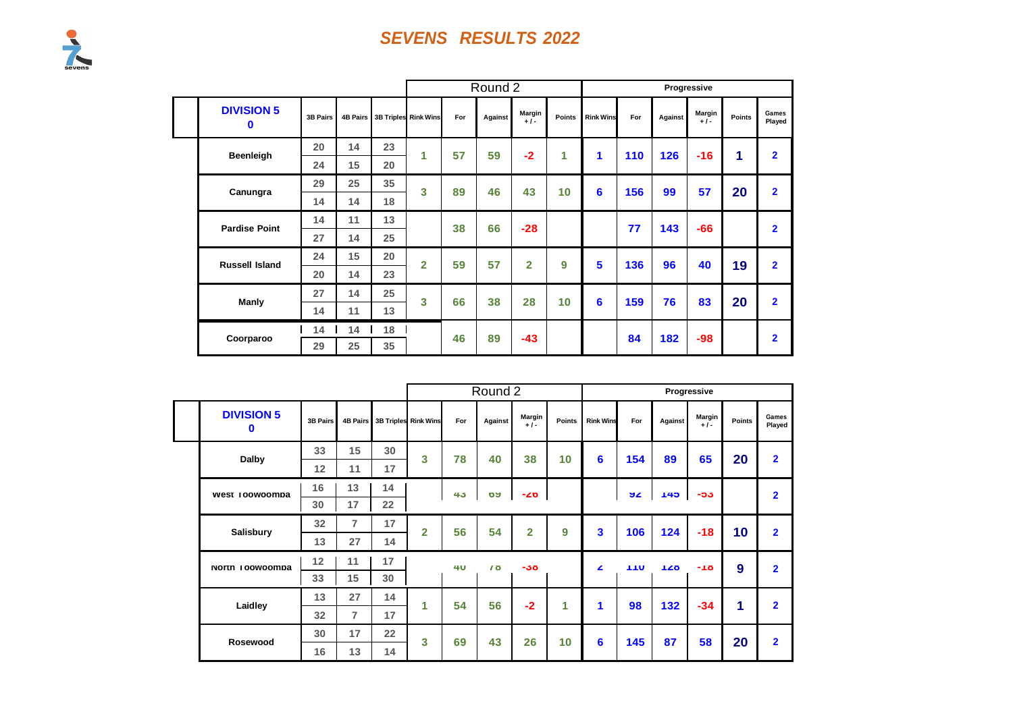

|                        |          |                 |    | Round 2                     |     |         |                 |        |                  | Progressive |         |                 |        |                 |
|------------------------|----------|-----------------|----|-----------------------------|-----|---------|-----------------|--------|------------------|-------------|---------|-----------------|--------|-----------------|
| <b>DIVISION 5</b><br>0 | 3B Pairs | <b>4B Pairs</b> |    | <b>3B Triples Rink Wins</b> | For | Against | Margin<br>$+1-$ | Points | <b>Rink Wins</b> | For         | Against | Margin<br>$+1-$ | Points | Games<br>Played |
| Beenleigh              | 20       | 14              | 23 | 1                           | 57  | 59      | $-2$            | 1      | 1                | 110         | 126     | $-16$           | 1      | $\overline{2}$  |
|                        | 24       | 15              | 20 |                             |     |         |                 |        |                  |             |         |                 |        |                 |
| Canungra               | 29       | 25              | 35 | 3                           | 89  | 46      | 43              | 10     | 6                | 156         | 99      | 57              | 20     | $\overline{2}$  |
|                        | 14       | 14              | 18 |                             |     |         |                 |        |                  |             |         |                 |        |                 |
| <b>Pardise Point</b>   | 14       | 11              | 13 |                             | 38  | 66      | $-28$           |        |                  | 77          | 143     | $-66$           |        | $\overline{2}$  |
|                        | 27       | 14              | 25 |                             |     |         |                 |        |                  |             |         |                 |        |                 |
| <b>Russell Island</b>  | 24       | 15              | 20 | $\overline{2}$              | 59  | 57      | $\overline{2}$  | 9      | 5                | 136         | 96      | 40              | 19     | $\overline{2}$  |
|                        | 20       | 14              | 23 |                             |     |         |                 |        |                  |             |         |                 |        |                 |
| Manly                  | 27       | 14              | 25 | 3                           | 66  | 38      | 28              | 10     | 6                | 159         | 76      | 83              | 20     | $\overline{2}$  |
|                        | 14       | 11              | 13 |                             |     |         |                 |        |                  |             |         |                 |        |                 |
|                        | 14       | 14              | 18 |                             | 46  | 89      | $-43$           |        |                  | 84          | 182     | $-98$           |        | $\overline{2}$  |
| Coorparoo              | 29       | 25              | 35 |                             |     |         |                 |        |                  |             |         |                 |        |                 |

|  |                        |          |                |    |                      |                | Round 2   |                 |        |                         |            |         | Progressive     |               |                         |
|--|------------------------|----------|----------------|----|----------------------|----------------|-----------|-----------------|--------|-------------------------|------------|---------|-----------------|---------------|-------------------------|
|  | <b>DIVISION 5</b><br>0 | 3B Pairs | 4B Pairs       |    | 3B Triples Rink Wins | For            | Against   | Margin<br>$+1-$ | Points | <b>Rink Wins</b>        | For        | Against | Margin<br>$+1-$ | <b>Points</b> | Games<br>Played         |
|  | Dalby                  | 33       | 15             | 30 | 3                    | 78             | 40        | 38              | 10     | 6                       | 154        | 89      | 65              | 20            | $\overline{2}$          |
|  |                        | 12       | 11             | 17 |                      |                |           |                 |        |                         |            |         |                 |               |                         |
|  | west roowoompa         | 16       | 13             | 14 |                      | 4 <sub>5</sub> | <b>DA</b> | -40             |        |                         | স∠         | 145     | -၁၁             |               | $\overline{2}$          |
|  |                        | 30       | 17             | 22 |                      |                |           |                 |        |                         |            |         |                 |               |                         |
|  | <b>Salisbury</b>       | 32       | $\overline{7}$ | 17 | $\overline{2}$       | 56             | 54        | $\overline{2}$  | 9      | $\overline{\mathbf{3}}$ | 106        | 124     | $-18$           | 10            | $\overline{2}$          |
|  |                        | 13       | 27             | 14 |                      |                |           |                 |        |                         |            |         |                 |               |                         |
|  |                        | 12       | 11             | 17 |                      | 4 <b>U</b>     | 78        | $-38$           |        | z                       | <b>110</b> | 128     | -18             | 9             | $\overline{2}$          |
|  | North Toowoomba        | 33       | 15             | 30 |                      |                |           |                 |        |                         |            |         |                 |               |                         |
|  | Laidley<br>Rosewood    | 13       | 27             | 14 | 1                    | 54             | 56        | $-2$            | 1      | 1                       | 98         | 132     | $-34$           | 1             | $\overline{2}$          |
|  |                        | 32       | $\overline{7}$ | 17 |                      |                |           |                 |        |                         |            |         |                 |               |                         |
|  |                        | 30       | 17             | 22 | 3                    | 69             | 43        | 26              | 10     | 6                       | 145        | 87      | 58              | 20            | $\overline{\mathbf{2}}$ |
|  |                        | 16       | 13             | 14 |                      |                |           |                 |        |                         |            |         |                 |               |                         |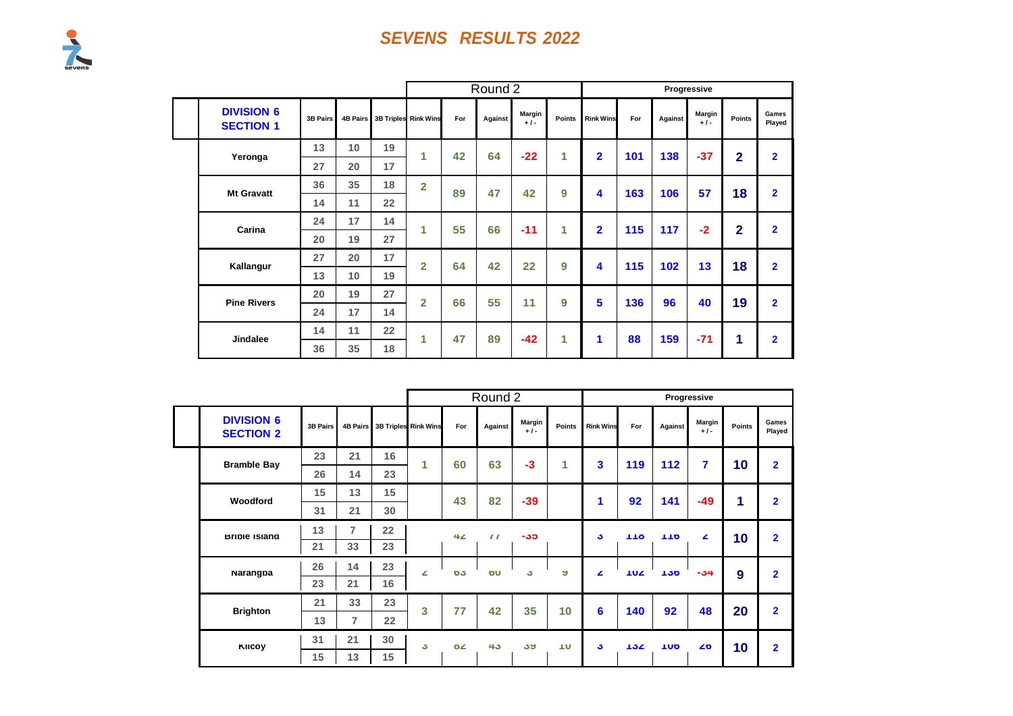|                                       |                 |                 |                   |                      |     | Round 2 |                 |               |                  |     |         | Progressive     |                |                         |
|---------------------------------------|-----------------|-----------------|-------------------|----------------------|-----|---------|-----------------|---------------|------------------|-----|---------|-----------------|----------------|-------------------------|
| <b>DIVISION 6</b><br><b>SECTION 1</b> | <b>3B Pairs</b> | <b>4B Pairs</b> |                   | 3B Triples Rink Wins | For | Against | Margin<br>$+1-$ | <b>Points</b> | <b>Rink Wins</b> | For | Against | Margin<br>$+1-$ | Points         | Games<br>Played         |
| Yeronga                               | 13              | 10              | 19                | 1                    | 42  | 64      | $-22$           | 1             | $\overline{2}$   | 101 | 138     | $-37$           | $\overline{2}$ | $\overline{2}$          |
|                                       | 27              | 20              | 17                |                      |     |         |                 |               |                  |     |         |                 |                |                         |
| <b>Mt Gravatt</b>                     | 36              | 35              | 18                | $\overline{2}$       | 89  | 47      | 42              | 9             | 4                | 163 | 106     | 57              | 18             | $\overline{2}$          |
|                                       | 14              | 11              | $22 \overline{ }$ |                      |     |         |                 |               |                  |     |         |                 |                |                         |
| Carina                                | 24              | 17              | 14                | 1                    | 55  | 66      | $-11$           | 1             | $\overline{2}$   | 115 | 117     | $-2$            | $\overline{2}$ | $\overline{2}$          |
|                                       | 20              | 19              | 27                |                      |     |         |                 |               |                  |     |         |                 |                |                         |
| Kallangur                             | 27              | 20              | 17                | $\overline{2}$       | 64  | 42      | 22              | 9             | 4                | 115 | 102     | 13              | 18             | $\overline{2}$          |
|                                       | 13              | 10 <sup>1</sup> | 19                |                      |     |         |                 |               |                  |     |         |                 |                |                         |
| <b>Pine Rivers</b>                    | 20              | 19              | 27                | $\overline{2}$       | 66  | 55      | 11              | 9             | 5                | 136 | 96      | 40              | 19             | $\overline{2}$          |
|                                       | 24              | 17              | 14                |                      |     |         |                 |               |                  |     |         |                 |                |                         |
|                                       | 14              | 11              | 22                | 1                    | 47  | 89      | $-42$           | 1             | 1                | 88  | 159     | $-71$           | 1              | $\overline{\mathbf{2}}$ |
| <b>Jindalee</b>                       | 36              | 35              | 18                |                      |     |         |                 |               |                  |     |         |                 |                |                         |

|                                       |                 |                |    |                               |     | Round 2        |                 |               |                  |            |                  | Progressive      |        |                 |
|---------------------------------------|-----------------|----------------|----|-------------------------------|-----|----------------|-----------------|---------------|------------------|------------|------------------|------------------|--------|-----------------|
| <b>DIVISION 6</b><br><b>SECTION 2</b> | <b>3B Pairs</b> |                |    | 4B Pairs 3B Triples Rink Wins | For | Against        | Margin<br>$+1-$ | <b>Points</b> | <b>Rink Wins</b> | For        | Against          | Margin<br>$+1-$  | Points | Games<br>Played |
| <b>Bramble Bay</b>                    | 23              | 21             | 16 | 1                             | 60  | 63             | $-3$            | 1             | 3                | 119        | 112              | 7                | 10     | $\overline{2}$  |
|                                       | 26              | 14             | 23 |                               |     |                |                 |               |                  |            |                  |                  |        |                 |
| Woodford                              | 15              | 13             | 15 |                               | 43  | 82             | $-39$           |               | 1                | 92         | 141              | $-49$            | 1      | $\overline{2}$  |
|                                       | 31              | 21             | 30 |                               |     |                |                 |               |                  |            |                  |                  |        |                 |
| <b>Brible Island</b>                  | 13              | $\overline{7}$ | 22 |                               | 42  | $\prime\prime$ | -30             |               | J.               | 110        | 110              | $\blacktriangle$ | 10     | $\overline{2}$  |
|                                       | 21              | 33             | 23 |                               |     |                |                 |               |                  |            |                  |                  |        |                 |
| Narangpa                              | 26              | 14             | 23 | ∠                             | 03  | ΌU             | J.              | ы             | ◢                | <b>TUZ</b> | 130 <sub>1</sub> | $-54$            | 9      | $\overline{2}$  |
|                                       | 23              | 21             | 16 |                               |     |                |                 |               |                  |            |                  |                  |        |                 |
| <b>Brighton</b>                       | 21              | 33             | 23 | 3                             | 77  | 42             | 35              | 10            | 6                | 140        | 92               | 48               | 20     | $\overline{2}$  |
|                                       | 13              | 7              | 22 |                               |     |                |                 |               |                  |            |                  |                  |        |                 |
|                                       | 31              | 21             | 30 | J.                            | ÖZ. | 45             | აყ              | ΠU            | J.               | 134        | <b>TUD</b>       | 20               | 10     | $\overline{2}$  |
| KIICOY                                | 15              | 13             | 15 |                               |     |                |                 |               |                  |            |                  |                  |        |                 |

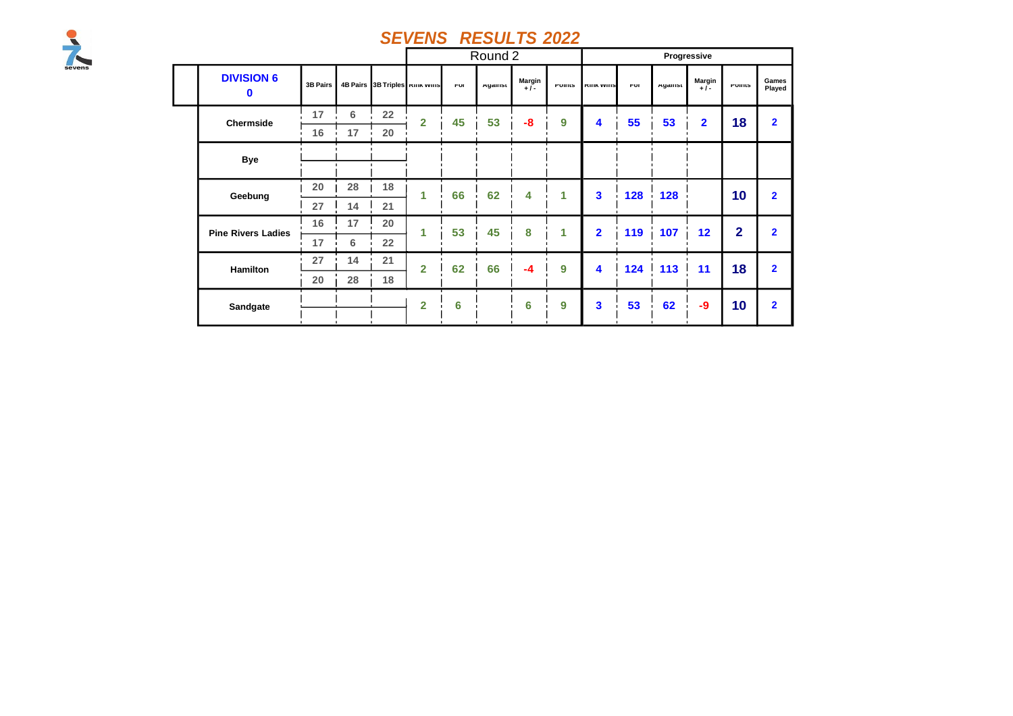

|                           |          |    |    |                                |            | Round 2 |                       |               |                      |            |        | Progressive             |                |                 |
|---------------------------|----------|----|----|--------------------------------|------------|---------|-----------------------|---------------|----------------------|------------|--------|-------------------------|----------------|-----------------|
| <b>DIVISION 6</b><br>0    | 3B Pairs |    |    | 4B Pairs 3B Triples KIIK WIIIS | <b>rui</b> | Ayamst  | <b>Margin</b><br>$+1$ | <b>FUILIS</b> | <b>INITIA VVIITS</b> | <b>rui</b> | Ayamst | Margin<br>$+1$          | <b>FUILIS</b>  | Games<br>Played |
| Chermside                 | 17       | 6  | 22 | $\overline{2}$                 | 45         | 53      | $-8$                  | 9             | 4                    | 55         | 53     | $\overline{\mathbf{2}}$ | 18             | $\overline{2}$  |
|                           | 16       | 17 | 20 |                                |            |         |                       |               |                      |            |        |                         |                |                 |
| <b>Bye</b>                |          |    |    |                                |            |         |                       |               |                      |            |        |                         |                |                 |
|                           | 20       | 28 | 18 | 1                              | 66         | 62      | 4                     | 1             | 3                    | 128        | 128    |                         | 10             | $\overline{2}$  |
| Geebung                   | 27       | 14 | 21 |                                |            |         |                       |               |                      |            |        |                         |                |                 |
| <b>Pine Rivers Ladies</b> | 16       | 17 | 20 | 1                              | 53         | 45      | 8                     | 1             | $\overline{2}$       | 119        | 107    | 12                      | $\overline{2}$ | $\overline{2}$  |
|                           | 17       | 6  | 22 |                                |            |         |                       |               |                      |            |        |                         |                |                 |
| Hamilton                  | 27       | 14 | 21 | $\overline{2}$                 | 62         | 66      | $-4$                  | 9             | 4                    | 124        | 113    | 11                      | 18             | $\overline{2}$  |
|                           | 20       | 28 | 18 |                                |            |         |                       |               |                      |            |        |                         |                |                 |
| Sandgate                  |          |    |    | $\overline{2}$                 | 6          |         | 6                     | 9             | 3                    | 53         | 62     | $-9$                    | 10             | $\overline{2}$  |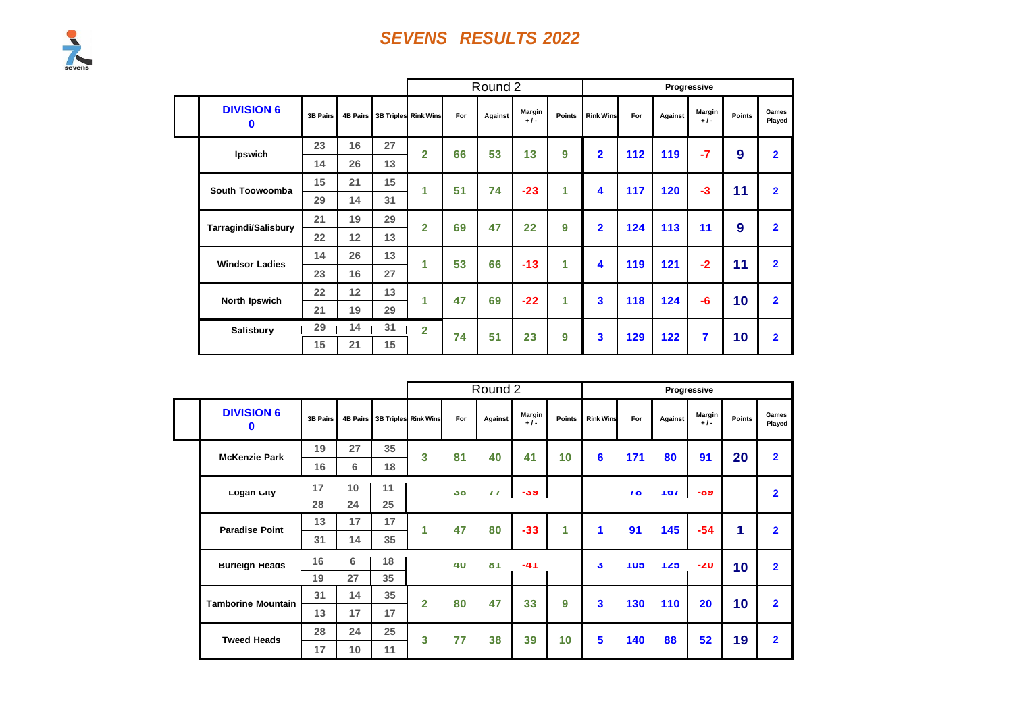|                               |                 |    |    |                               |     | Round 2 |                 |        |                         |     |         | Progressive     |               |                 |
|-------------------------------|-----------------|----|----|-------------------------------|-----|---------|-----------------|--------|-------------------------|-----|---------|-----------------|---------------|-----------------|
| <b>DIVISION 6</b><br>$\bf{0}$ | <b>3B Pairs</b> |    |    | 4B Pairs 3B Triples Rink Wins | For | Against | Margin<br>$+1-$ | Points | <b>Rink Wins</b>        | For | Against | Margin<br>$+1-$ | <b>Points</b> | Games<br>Played |
| Ipswich                       | 23              | 16 | 27 | $\overline{2}$                | 66  | 53      | 13              | 9      | $\overline{2}$          | 112 | 119     | $-7$            | 9             | $\overline{2}$  |
|                               | 14              | 26 | 13 |                               |     |         |                 |        |                         |     |         |                 |               |                 |
| South Toowoomba               | 15              | 21 | 15 | 1                             | 51  | 74      | $-23$           | 1      | $\overline{\mathbf{4}}$ | 117 | 120     | $-3$            | 11            | $\overline{2}$  |
|                               | 29              | 14 | 31 |                               |     |         |                 |        |                         |     |         |                 |               |                 |
| <b>Tarragindi/Salisbury</b>   | 21              | 19 | 29 | $\overline{2}$                | 69  | 47      | 22              | 9      | $\overline{2}$          | 124 | 113     | 11              | 9             | $\overline{2}$  |
|                               | 22              | 12 | 13 |                               |     |         |                 |        |                         |     |         |                 |               |                 |
| <b>Windsor Ladies</b>         | 14              | 26 | 13 | 1                             | 53  | 66      | $-13$           | 1      | 4                       | 119 | 121     | $-2$            | 11            | $\overline{2}$  |
|                               | 23              | 16 | 27 |                               |     |         |                 |        |                         |     |         |                 |               |                 |
| North Ipswich                 | 22              | 12 | 13 | 1                             | 47  | 69      | $-22$           | 1      | 3                       | 118 | 124     | -6              | 10            | $\overline{2}$  |
|                               | 21              | 19 | 29 |                               |     |         |                 |        |                         |     |         |                 |               |                 |
| <b>Salisbury</b>              | 29              | 14 | 31 | $\overline{2}$                | 74  | 51      | 23              | 9      | 3                       | 129 | 122     | 7               | 10            | $\overline{2}$  |
|                               | 15              | 21 | 15 |                               |     |         |                 |        |                         |     |         |                 |               |                 |

|  |                                                 |                 |    |                               |                |            | Round 2               |                 |        |                  |            |         | Progressive     |        |                 |
|--|-------------------------------------------------|-----------------|----|-------------------------------|----------------|------------|-----------------------|-----------------|--------|------------------|------------|---------|-----------------|--------|-----------------|
|  | <b>DIVISION 6</b><br>0                          | <b>3B Pairs</b> |    | 4B Pairs 3B Triples Rink Wins |                | For        | Against               | Margin<br>$+1-$ | Points | <b>Rink Wins</b> | For        | Against | Margin<br>$+1-$ | Points | Games<br>Played |
|  | <b>McKenzie Park</b>                            | 19              | 27 | 35                            | 3              | 81         | 40                    | 41              | 10     | 6                | 171        | 80      | 91              | 20     | $\overline{2}$  |
|  |                                                 | 16              | 6  | 18                            |                |            |                       |                 |        |                  |            |         |                 |        |                 |
|  | Logan City                                      | 17              | 10 | 11                            |                | 50         | $\prime\prime$        | -39             |        |                  | <b>70</b>  | 107     | -09             |        | $\overline{2}$  |
|  |                                                 | 28              | 24 | 25                            |                |            |                       |                 |        |                  |            |         |                 |        |                 |
|  | <b>Paradise Point</b>                           | 13              | 17 | 17                            | 4              | 47         | 80                    | $-33$           | 1      | 1                | 91         | 145     | $-54$           | 1      | $\overline{2}$  |
|  |                                                 | 31              | 14 | 35                            |                |            |                       |                 |        |                  |            |         |                 |        |                 |
|  | <b>Burleign Heads</b>                           | 16              | 6  | 18                            |                | 4 <b>0</b> | $\sigma$ <sup>1</sup> | -41             |        | J.               | <b>GUT</b> | 125     | -20             | 10     | $\overline{2}$  |
|  |                                                 | 19              | 27 | 35                            |                |            |                       |                 |        |                  |            |         |                 |        |                 |
|  | <b>Tamborine Mountain</b><br><b>Tweed Heads</b> | 31              | 14 | 35                            | $\overline{2}$ | 80         | 47                    | 33              | 9      | 3                | 130        | 110     | 20              | 10     | $\overline{2}$  |
|  |                                                 | 13              | 17 | 17                            |                |            |                       |                 |        |                  |            |         |                 |        |                 |
|  |                                                 | 28              | 24 | 25                            | 3              | 77         | 38                    | 39              | 10     | 5                | 140        | 88      | 52              | 19     | $\overline{2}$  |
|  |                                                 | 17              | 10 | 11                            |                |            |                       |                 |        |                  |            |         |                 |        |                 |

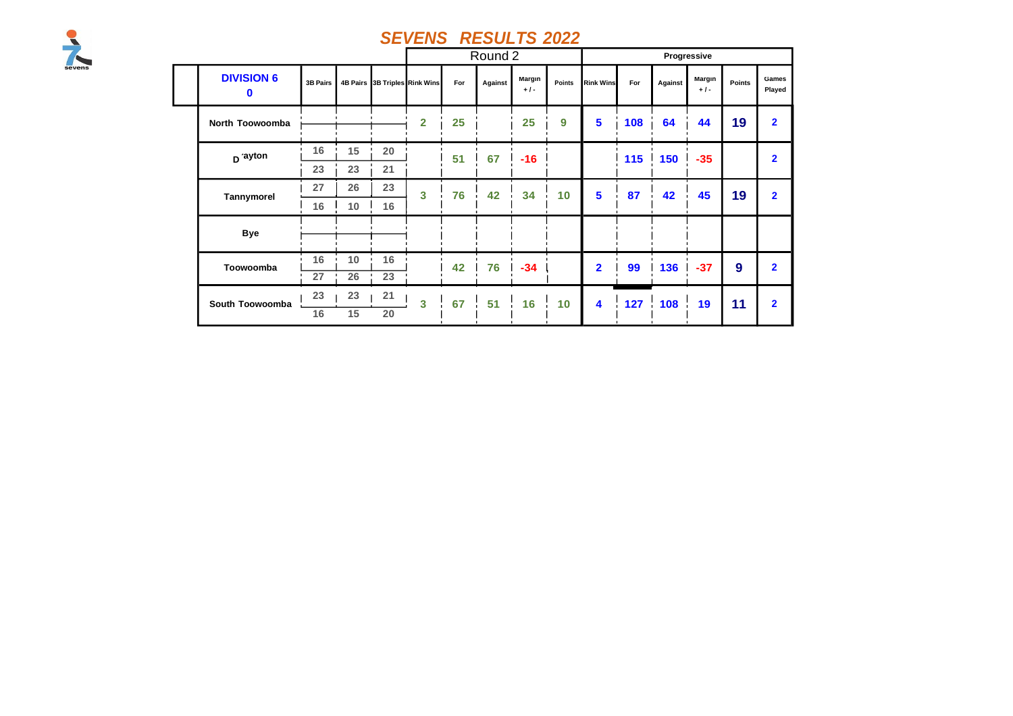

|                               |                 |    |    |                               |     | Round 2 |                 |        |                  |     |         | Progressive     |        |                 |
|-------------------------------|-----------------|----|----|-------------------------------|-----|---------|-----------------|--------|------------------|-----|---------|-----------------|--------|-----------------|
| <b>DIVISION 6</b><br>$\bf{0}$ | <b>3B Pairs</b> |    |    | 4B Pairs 3B Triples Rink Wins | For | Against | Margin<br>$+1-$ | Points | <b>Rink Wins</b> | For | Against | Margin<br>$+1-$ | Points | Games<br>Played |
| North Toowoomba               |                 |    |    | $\overline{2}$                | 25  |         | 25              | 9      | 5                | 108 | 64      | 44              | 19     | $\overline{2}$  |
| D ayton                       | 16              | 15 | 20 |                               | 51  | 67      | $-16$           |        |                  | 115 | 150     | $-35$           |        | $\mathbf{2}$    |
|                               | 23              | 23 | 21 |                               |     |         |                 |        |                  |     |         |                 |        |                 |
| Tannymorel                    | 27              | 26 | 23 | 3                             | 76  | 42      | 34              | 10     | 5                | 87  | 42      | 45              | 19     | $\overline{2}$  |
|                               | 16              | 10 | 16 |                               |     |         |                 |        |                  |     |         |                 |        |                 |
| <b>Bye</b>                    |                 |    |    |                               |     |         |                 |        |                  |     |         |                 |        |                 |
| Toowoomba                     | 16              | 10 | 16 |                               | 42  | 76      | $-34$           |        | $\overline{2}$   | 99  | 136     | $-37$           | 9      | $\overline{2}$  |
|                               | 27              | 26 | 23 |                               |     |         |                 |        |                  |     |         |                 |        |                 |
| South Toowoomba               | 23              | 23 | 21 | 3                             | 67  | 51      | 16              | 10     | 4                | 127 | 108     | 19              | 11     | $\overline{2}$  |
|                               | 16              | 15 | 20 |                               |     |         |                 |        |                  |     |         |                 |        |                 |